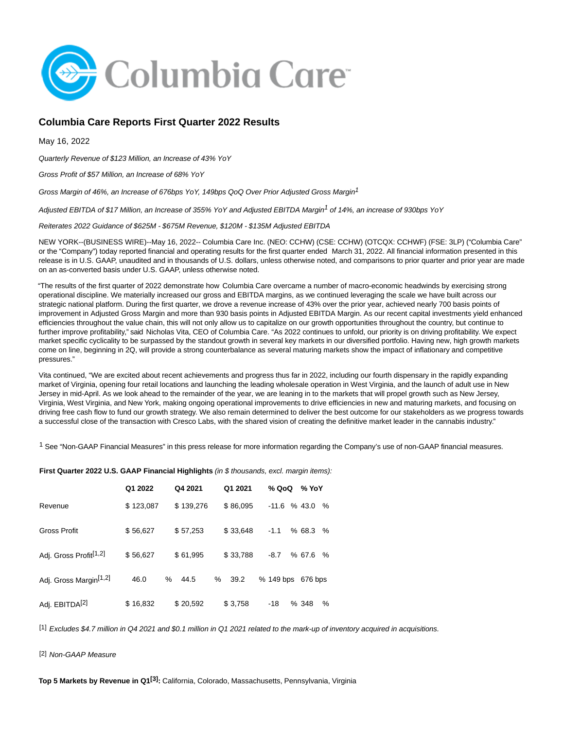

# **Columbia Care Reports First Quarter 2022 Results**

May 16, 2022

Quarterly Revenue of \$123 Million, an Increase of 43% YoY

Gross Profit of \$57 Million, an Increase of 68% YoY

Gross Margin of 46%, an Increase of 676bps YoY, 149bps QoQ Over Prior Adjusted Gross Margin<sup>1</sup>

Adjusted EBITDA of \$17 Million, an Increase of 355% YoY and Adjusted EBITDA Margin<sup>1</sup> of 14%, an increase of 930bps YoY

Reiterates 2022 Guidance of \$625M - \$675M Revenue, \$120M - \$135M Adjusted EBITDA

NEW YORK--(BUSINESS WIRE)--May 16, 2022-- Columbia Care Inc. (NEO: CCHW) (CSE: CCHW) (OTCQX: CCHWF) (FSE: 3LP) ("Columbia Care" or the "Company") today reported financial and operating results for the first quarter ended March 31, 2022. All financial information presented in this release is in U.S. GAAP, unaudited and in thousands of U.S. dollars, unless otherwise noted, and comparisons to prior quarter and prior year are made on an as-converted basis under U.S. GAAP, unless otherwise noted.

"The results of the first quarter of 2022 demonstrate how Columbia Care overcame a number of macro-economic headwinds by exercising strong operational discipline. We materially increased our gross and EBITDA margins, as we continued leveraging the scale we have built across our strategic national platform. During the first quarter, we drove a revenue increase of 43% over the prior year, achieved nearly 700 basis points of improvement in Adjusted Gross Margin and more than 930 basis points in Adjusted EBITDA Margin. As our recent capital investments yield enhanced efficiencies throughout the value chain, this will not only allow us to capitalize on our growth opportunities throughout the country, but continue to further improve profitability," said Nicholas Vita, CEO of Columbia Care. "As 2022 continues to unfold, our priority is on driving profitability. We expect market specific cyclicality to be surpassed by the standout growth in several key markets in our diversified portfolio. Having new, high growth markets come on line, beginning in 2Q, will provide a strong counterbalance as several maturing markets show the impact of inflationary and competitive pressures."

Vita continued, "We are excited about recent achievements and progress thus far in 2022, including our fourth dispensary in the rapidly expanding market of Virginia, opening four retail locations and launching the leading wholesale operation in West Virginia, and the launch of adult use in New Jersey in mid-April. As we look ahead to the remainder of the year, we are leaning in to the markets that will propel growth such as New Jersey, Virginia, West Virginia, and New York, making ongoing operational improvements to drive efficiencies in new and maturing markets, and focusing on driving free cash flow to fund our growth strategy. We also remain determined to deliver the best outcome for our stakeholders as we progress towards a successful close of the transaction with Cresco Labs, with the shared vision of creating the definitive market leader in the cannabis industry."

 $1$  See "Non-GAAP Financial Measures" in this press release for more information regarding the Company's use of non-GAAP financial measures.

#### **First Quarter 2022 U.S. GAAP Financial Highlights** (in \$ thousands, excl. margin items):

|                                    | Q1 2022   | Q4 2021   | Q1 2021  | % QoQ     | % YoY            |  |
|------------------------------------|-----------|-----------|----------|-----------|------------------|--|
| Revenue                            | \$123,087 | \$139,276 | \$86,095 |           | $-11.6$ % 43.0 % |  |
| <b>Gross Profit</b>                | \$56,627  | \$57,253  | \$33.648 | $-1.1$    | % 68.3 %         |  |
| Adj. Gross Profit <sup>[1,2]</sup> | \$56,627  | \$61,995  | \$33.788 | $-8.7$    | % 67.6 %         |  |
| Adj. Gross Margin <sup>[1,2]</sup> | 46.0<br>% | %<br>44.5 | 39.2     | % 149 bps | 676 bps          |  |
| Adj. EBITDA <sup>[2]</sup>         | \$16,832  | \$20,592  | \$3,758  | -18       | % 348<br>℅       |  |

[1] Excludes \$4.7 million in Q4 2021 and \$0.1 million in Q1 2021 related to the mark-up of inventory acquired in acquisitions.

[2] Non-GAAP Measure

**Top 5 Markets by Revenue in Q1[3]:** California, Colorado, Massachusetts, Pennsylvania, Virginia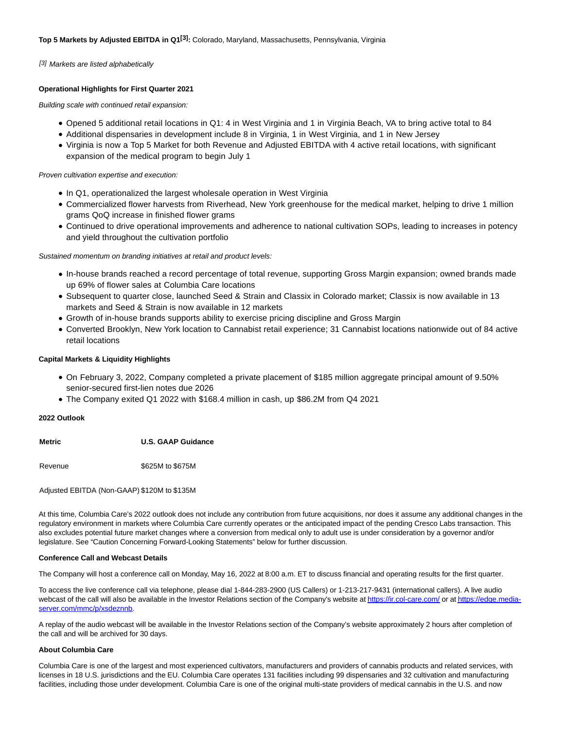[3] Markets are listed alphabetically

#### **Operational Highlights for First Quarter 2021**

Building scale with continued retail expansion:

- Opened 5 additional retail locations in Q1: 4 in West Virginia and 1 in Virginia Beach, VA to bring active total to 84
- Additional dispensaries in development include 8 in Virginia, 1 in West Virginia, and 1 in New Jersey
- Virginia is now a Top 5 Market for both Revenue and Adjusted EBITDA with 4 active retail locations, with significant expansion of the medical program to begin July 1

#### Proven cultivation expertise and execution:

- In Q1, operationalized the largest wholesale operation in West Virginia
- Commercialized flower harvests from Riverhead, New York greenhouse for the medical market, helping to drive 1 million grams QoQ increase in finished flower grams
- Continued to drive operational improvements and adherence to national cultivation SOPs, leading to increases in potency and yield throughout the cultivation portfolio

Sustained momentum on branding initiatives at retail and product levels:

- In-house brands reached a record percentage of total revenue, supporting Gross Margin expansion; owned brands made up 69% of flower sales at Columbia Care locations
- Subsequent to quarter close, launched Seed & Strain and Classix in Colorado market; Classix is now available in 13 markets and Seed & Strain is now available in 12 markets
- Growth of in-house brands supports ability to exercise pricing discipline and Gross Margin
- Converted Brooklyn, New York location to Cannabist retail experience; 31 Cannabist locations nationwide out of 84 active retail locations

#### **Capital Markets & Liquidity Highlights**

- On February 3, 2022, Company completed a private placement of \$185 million aggregate principal amount of 9.50% senior-secured first-lien notes due 2026
- The Company exited Q1 2022 with \$168.4 million in cash, up \$86.2M from Q4 2021

#### **2022 Outlook**

**Metric U.S. GAAP Guidance**

Revenue \$625M to \$675M

#### Adjusted EBITDA (Non-GAAP) \$120M to \$135M

At this time, Columbia Care's 2022 outlook does not include any contribution from future acquisitions, nor does it assume any additional changes in the regulatory environment in markets where Columbia Care currently operates or the anticipated impact of the pending Cresco Labs transaction. This also excludes potential future market changes where a conversion from medical only to adult use is under consideration by a governor and/or legislature. See "Caution Concerning Forward-Looking Statements" below for further discussion.

#### **Conference Call and Webcast Details**

The Company will host a conference call on Monday, May 16, 2022 at 8:00 a.m. ET to discuss financial and operating results for the first quarter.

To access the live conference call via telephone, please dial 1-844-283-2900 (US Callers) or 1-213-217-9431 (international callers). A live audio webcast of the call will also be available in the Investor Relations section of the Company's website a[t https://ir.col-care.com/ o](https://cts.businesswire.com/ct/CT?id=smartlink&url=https%3A%2F%2Fir.col-care.com%2F&esheet=52719993&newsitemid=20220516005322&lan=en-US&anchor=https%3A%2F%2Fir.col-care.com%2F&index=1&md5=80c74119843180c05fc67a5d0e2aa753)r a[t https://edge.media](https://cts.businesswire.com/ct/CT?id=smartlink&url=https%3A%2F%2Fedge.media-server.com%2Fmmc%2Fp%2Fxsdeznnb&esheet=52719993&newsitemid=20220516005322&lan=en-US&anchor=https%3A%2F%2Fedge.media-server.com%2Fmmc%2Fp%2Fxsdeznnb&index=2&md5=dfa871326f0b7931104e97c156de3704)server.com/mmc/p/xsdeznnb.

A replay of the audio webcast will be available in the Investor Relations section of the Company's website approximately 2 hours after completion of the call and will be archived for 30 days.

#### **About Columbia Care**

Columbia Care is one of the largest and most experienced cultivators, manufacturers and providers of cannabis products and related services, with licenses in 18 U.S. jurisdictions and the EU. Columbia Care operates 131 facilities including 99 dispensaries and 32 cultivation and manufacturing facilities, including those under development. Columbia Care is one of the original multi-state providers of medical cannabis in the U.S. and now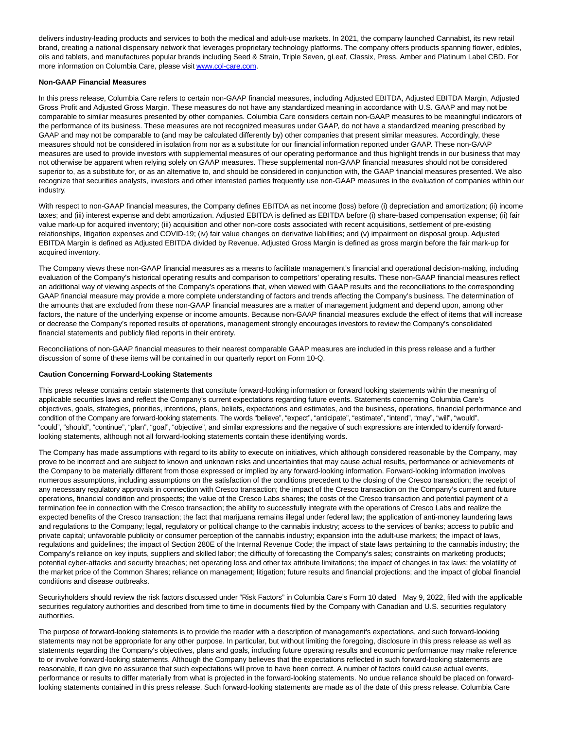delivers industry-leading products and services to both the medical and adult-use markets. In 2021, the company launched Cannabist, its new retail brand, creating a national dispensary network that leverages proprietary technology platforms. The company offers products spanning flower, edibles, oils and tablets, and manufactures popular brands including Seed & Strain, Triple Seven, gLeaf, Classix, Press, Amber and Platinum Label CBD. For more information on Columbia Care, please visi[t www.col-care.com.](https://cts.businesswire.com/ct/CT?id=smartlink&url=http%3A%2F%2Fwww.col-care.com&esheet=52719993&newsitemid=20220516005322&lan=en-US&anchor=www.col-care.com&index=3&md5=6ae0156735d0821b5525d3de241df438)

#### **Non-GAAP Financial Measures**

In this press release, Columbia Care refers to certain non-GAAP financial measures, including Adjusted EBITDA, Adjusted EBITDA Margin, Adjusted Gross Profit and Adjusted Gross Margin. These measures do not have any standardized meaning in accordance with U.S. GAAP and may not be comparable to similar measures presented by other companies. Columbia Care considers certain non-GAAP measures to be meaningful indicators of the performance of its business. These measures are not recognized measures under GAAP, do not have a standardized meaning prescribed by GAAP and may not be comparable to (and may be calculated differently by) other companies that present similar measures. Accordingly, these measures should not be considered in isolation from nor as a substitute for our financial information reported under GAAP. These non-GAAP measures are used to provide investors with supplemental measures of our operating performance and thus highlight trends in our business that may not otherwise be apparent when relying solely on GAAP measures. These supplemental non-GAAP financial measures should not be considered superior to, as a substitute for, or as an alternative to, and should be considered in conjunction with, the GAAP financial measures presented. We also recognize that securities analysts, investors and other interested parties frequently use non-GAAP measures in the evaluation of companies within our industry.

With respect to non-GAAP financial measures, the Company defines EBITDA as net income (loss) before (i) depreciation and amortization; (ii) income taxes; and (iii) interest expense and debt amortization. Adjusted EBITDA is defined as EBITDA before (i) share-based compensation expense; (ii) fair value mark-up for acquired inventory; (iii) acquisition and other non-core costs associated with recent acquisitions, settlement of pre-existing relationships, litigation expenses and COVID-19; (iv) fair value changes on derivative liabilities; and (v) impairment on disposal group. Adjusted EBITDA Margin is defined as Adjusted EBITDA divided by Revenue. Adjusted Gross Margin is defined as gross margin before the fair mark-up for acquired inventory.

The Company views these non-GAAP financial measures as a means to facilitate management's financial and operational decision-making, including evaluation of the Company's historical operating results and comparison to competitors' operating results. These non-GAAP financial measures reflect an additional way of viewing aspects of the Company's operations that, when viewed with GAAP results and the reconciliations to the corresponding GAAP financial measure may provide a more complete understanding of factors and trends affecting the Company's business. The determination of the amounts that are excluded from these non-GAAP financial measures are a matter of management judgment and depend upon, among other factors, the nature of the underlying expense or income amounts. Because non-GAAP financial measures exclude the effect of items that will increase or decrease the Company's reported results of operations, management strongly encourages investors to review the Company's consolidated financial statements and publicly filed reports in their entirety.

Reconciliations of non-GAAP financial measures to their nearest comparable GAAP measures are included in this press release and a further discussion of some of these items will be contained in our quarterly report on Form 10-Q.

#### **Caution Concerning Forward-Looking Statements**

This press release contains certain statements that constitute forward-looking information or forward looking statements within the meaning of applicable securities laws and reflect the Company's current expectations regarding future events. Statements concerning Columbia Care's objectives, goals, strategies, priorities, intentions, plans, beliefs, expectations and estimates, and the business, operations, financial performance and condition of the Company are forward-looking statements. The words "believe", "expect", "anticipate", "estimate", "intend", "may", "will", "would", "could", "should", "continue", "plan", "goal", "objective", and similar expressions and the negative of such expressions are intended to identify forwardlooking statements, although not all forward-looking statements contain these identifying words.

The Company has made assumptions with regard to its ability to execute on initiatives, which although considered reasonable by the Company, may prove to be incorrect and are subject to known and unknown risks and uncertainties that may cause actual results, performance or achievements of the Company to be materially different from those expressed or implied by any forward-looking information. Forward-looking information involves numerous assumptions, including assumptions on the satisfaction of the conditions precedent to the closing of the Cresco transaction; the receipt of any necessary regulatory approvals in connection with Cresco transaction; the impact of the Cresco transaction on the Company's current and future operations, financial condition and prospects; the value of the Cresco Labs shares; the costs of the Cresco transaction and potential payment of a termination fee in connection with the Cresco transaction; the ability to successfully integrate with the operations of Cresco Labs and realize the expected benefits of the Cresco transaction; the fact that marijuana remains illegal under federal law; the application of anti-money laundering laws and regulations to the Company; legal, regulatory or political change to the cannabis industry; access to the services of banks; access to public and private capital; unfavorable publicity or consumer perception of the cannabis industry; expansion into the adult-use markets; the impact of laws, regulations and guidelines; the impact of Section 280E of the Internal Revenue Code; the impact of state laws pertaining to the cannabis industry; the Company's reliance on key inputs, suppliers and skilled labor; the difficulty of forecasting the Company's sales; constraints on marketing products; potential cyber-attacks and security breaches; net operating loss and other tax attribute limitations; the impact of changes in tax laws; the volatility of the market price of the Common Shares; reliance on management; litigation; future results and financial projections; and the impact of global financial conditions and disease outbreaks.

Securityholders should review the risk factors discussed under "Risk Factors" in Columbia Care's Form 10 dated May 9, 2022, filed with the applicable securities regulatory authorities and described from time to time in documents filed by the Company with Canadian and U.S. securities regulatory authorities.

The purpose of forward-looking statements is to provide the reader with a description of management's expectations, and such forward-looking statements may not be appropriate for any other purpose. In particular, but without limiting the foregoing, disclosure in this press release as well as statements regarding the Company's objectives, plans and goals, including future operating results and economic performance may make reference to or involve forward-looking statements. Although the Company believes that the expectations reflected in such forward-looking statements are reasonable, it can give no assurance that such expectations will prove to have been correct. A number of factors could cause actual events, performance or results to differ materially from what is projected in the forward-looking statements. No undue reliance should be placed on forwardlooking statements contained in this press release. Such forward-looking statements are made as of the date of this press release. Columbia Care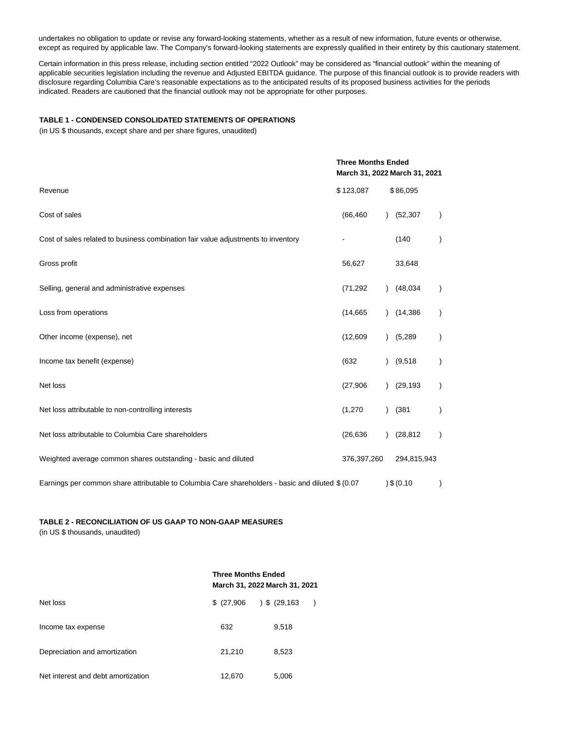undertakes no obligation to update or revise any forward-looking statements, whether as a result of new information, future events or otherwise, except as required by applicable law. The Company's forward-looking statements are expressly qualified in their entirety by this cautionary statement.

Certain information in this press release, including section entitled "2022 Outlook" may be considered as "financial outlook" within the meaning of applicable securities legislation including the revenue and Adjusted EBITDA guidance. The purpose of this financial outlook is to provide readers with disclosure regarding Columbia Care's reasonable expectations as to the anticipated results of its proposed business activities for the periods indicated. Readers are cautioned that the financial outlook may not be appropriate for other purposes.

### **TABLE 1 - CONDENSED CONSOLIDATED STATEMENTS OF OPERATIONS**

(in US \$ thousands, except share and per share figures, unaudited)

|                                                                                                   | <b>Three Months Ended</b><br>March 31, 2022 March 31, 2021 |  |             |           |  |
|---------------------------------------------------------------------------------------------------|------------------------------------------------------------|--|-------------|-----------|--|
| Revenue                                                                                           | \$123,087                                                  |  | \$86,095    |           |  |
| Cost of sales                                                                                     | (66, 460)                                                  |  | (52, 307)   |           |  |
| Cost of sales related to business combination fair value adjustments to inventory                 |                                                            |  | (140)       |           |  |
| Gross profit                                                                                      | 56,627                                                     |  | 33,648      |           |  |
| Selling, general and administrative expenses                                                      | (71, 292)                                                  |  | (48,034)    | $\lambda$ |  |
| Loss from operations                                                                              | (14, 665)                                                  |  | (14,386)    |           |  |
| Other income (expense), net                                                                       | (12, 609)                                                  |  | (5,289)     |           |  |
| Income tax benefit (expense)                                                                      | (632)                                                      |  | (9,518)     | $\lambda$ |  |
| Net loss                                                                                          | (27, 906)                                                  |  | (29, 193)   | $\lambda$ |  |
| Net loss attributable to non-controlling interests                                                | (1,270)                                                    |  | (381)       |           |  |
| Net loss attributable to Columbia Care shareholders                                               | (26, 636)                                                  |  | (28, 812)   | $\lambda$ |  |
| Weighted average common shares outstanding - basic and diluted                                    | 376,397,260                                                |  | 294,815,943 |           |  |
| Earnings per common share attributable to Columbia Care shareholders - basic and diluted \$ (0.07 |                                                            |  | ) \$ (0.10  |           |  |

#### **TABLE 2 - RECONCILIATION OF US GAAP TO NON-GAAP MEASURES**

(in US \$ thousands, unaudited)

|                                    | <b>Three Months Ended</b><br>March 31, 2022 March 31, 2021 |            |  |  |  |  |  |
|------------------------------------|------------------------------------------------------------|------------|--|--|--|--|--|
| Net loss                           | $$^{(27,906)}$                                             | 3(29, 163) |  |  |  |  |  |
| Income tax expense                 | 632                                                        | 9,518      |  |  |  |  |  |
| Depreciation and amortization      | 21,210                                                     | 8,523      |  |  |  |  |  |
| Net interest and debt amortization | 12,670                                                     | 5,006      |  |  |  |  |  |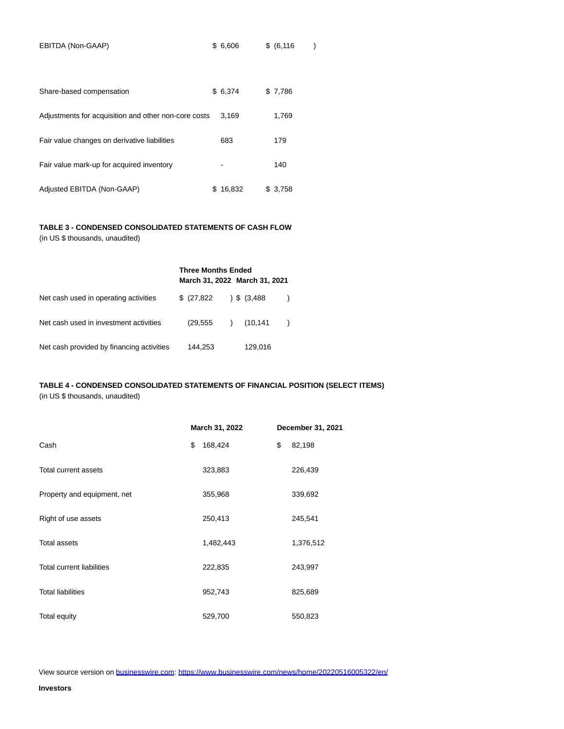| EBITDA (Non-GAAP) | \$6,606 | \$ (6, 116) |  |
|-------------------|---------|-------------|--|
|                   |         |             |  |

| Share-based compensation                             |   | \$6,374 | \$7,786 |
|------------------------------------------------------|---|---------|---------|
| Adjustments for acquisition and other non-core costs |   | 3,169   | 1,769   |
| Fair value changes on derivative liabilities         |   | 683     | 179     |
| Fair value mark-up for acquired inventory            |   |         | 140     |
| Adjusted EBITDA (Non-GAAP)                           | S | 16,832  | \$3,758 |

## **TABLE 3 - CONDENSED CONSOLIDATED STATEMENTS OF CASH FLOW**

(in US \$ thousands, unaudited)

|                                           | <b>Three Months Ended</b><br>March 31, 2022 March 31, 2021 |  |                       |  |  |  |
|-------------------------------------------|------------------------------------------------------------|--|-----------------------|--|--|--|
| Net cash used in operating activities     | \$(27,822)                                                 |  | $\frac{1}{5}$ (3,488) |  |  |  |
| Net cash used in investment activities    | (29,555                                                    |  | (10, 141)             |  |  |  |
| Net cash provided by financing activities | 144.253                                                    |  | 129,016               |  |  |  |

# **TABLE 4 - CONDENSED CONSOLIDATED STATEMENTS OF FINANCIAL POSITION (SELECT ITEMS)**

(in US \$ thousands, unaudited)

|                                  | March 31, 2022 |    | December 31, 2021 |
|----------------------------------|----------------|----|-------------------|
| Cash                             | \$<br>168,424  | \$ | 82,198            |
| Total current assets             | 323,883        |    | 226,439           |
| Property and equipment, net      | 355,968        |    | 339,692           |
| Right of use assets              | 250,413        |    | 245,541           |
| <b>Total assets</b>              | 1,482,443      |    | 1,376,512         |
| <b>Total current liabilities</b> | 222,835        |    | 243,997           |
| <b>Total liabilities</b>         | 952,743        |    | 825,689           |
| Total equity                     | 529,700        |    | 550,823           |

View source version on [businesswire.com:](http://businesswire.com/)<https://www.businesswire.com/news/home/20220516005322/en/>